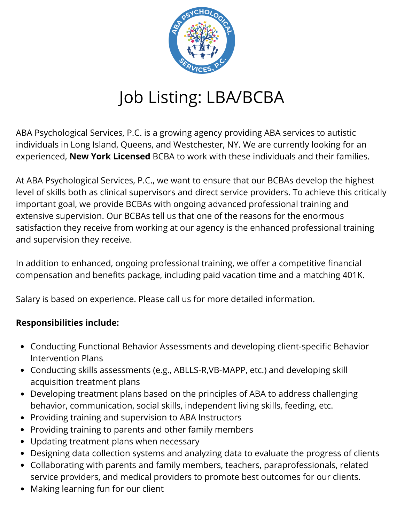

## Job Listing: LBA/BCBA

ABA Psychological Services, P.C. is a growing agency providing ABA services to autistic individuals in Long Island, Queens, and Westchester, NY. We are currently looking for an experienced, **New York Licensed** BCBA to work with these individuals and their families.

At ABA Psychological Services, P.C., we want to ensure that our BCBAs develop the highest level of skills both as clinical supervisors and direct service providers. To achieve this critically important goal, we provide BCBAs with ongoing advanced professional training and extensive supervision. Our BCBAs tell us that one of the reasons for the enormous satisfaction they receive from working at our agency is the enhanced professional training and supervision they receive.

In addition to enhanced, ongoing professional training, we offer a competitive financial compensation and benefits package, including paid vacation time and a matching 401K.

Salary is based on experience. Please call us for more detailed information.

## **Responsibilities include:**

- Conducting Functional Behavior Assessments and developing client-specific Behavior Intervention Plans
- Conducting skills assessments (e.g., ABLLS-R,VB-MAPP, etc.) and developing skill acquisition treatment plans
- Developing treatment plans based on the principles of ABA to address challenging behavior, communication, social skills, independent living skills, feeding, etc.
- Providing training and supervision to ABA Instructors
- Providing training to parents and other family members
- Updating treatment plans when necessary
- Designing data collection systems and analyzing data to evaluate the progress of clients
- Collaborating with parents and family members, teachers, paraprofessionals, related service providers, and medical providers to promote best outcomes for our clients.
- Making learning fun for our client